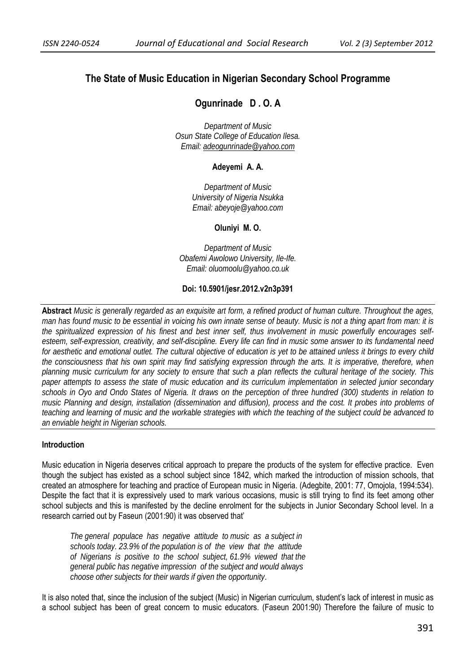# **The State of Music Education in Nigerian Secondary School Programme**

# **Ogunrinade D . O. A**

*Department of Music Osun State College of Education Ilesa. Email: adeogunrinade@yahoo.com*

### **Adeyemi A. A.**

*Department of Music University of Nigeria Nsukka Email: abeyoje@yahoo.com* 

#### **Oluniyi M. O.**

*Department of Music Obafemi Awolowo University, Ile-Ife. Email: oluomoolu@yahoo.co.uk* 

### **Doi: 10.5901/jesr.2012.v2n3p391**

**Abstract** *Music is generally regarded as an exquisite art form, a refined product of human culture. Throughout the ages, man has found music to be essential in voicing his own innate sense of beauty. Music is not a thing apart from man: it is the spiritualized expression of his finest and best inner self, thus involvement in music powerfully encourages selfesteem, self-expression, creativity, and self-discipline. Every life can find in music some answer to its fundamental need for aesthetic and emotional outlet. The cultural objective of education is yet to be attained unless it brings to every child the consciousness that his own spirit may find satisfying expression through the arts. It is imperative, therefore, when planning music curriculum for any society to ensure that such a plan reflects the cultural heritage of the society. This paper attempts to assess the state of music education and its curriculum implementation in selected junior secondary schools in Oyo and Ondo States of Nigeria. It draws on the perception of three hundred (300) students in relation to music Planning and design, installation (dissemination and diffusion), process and the cost. It probes into problems of teaching and learning of music and the workable strategies with which the teaching of the subject could be advanced to an enviable height in Nigerian schools.*

#### **Introduction**

Music education in Nigeria deserves critical approach to prepare the products of the system for effective practice. Even though the subject has existed as a school subject since 1842, which marked the introduction of mission schools, that created an atmosphere for teaching and practice of European music in Nigeria. (Adegbite, 2001: 77, Omojola, 1994:534). Despite the fact that it is expressively used to mark various occasions, music is still trying to find its feet among other school subjects and this is manifested by the decline enrolment for the subjects in Junior Secondary School level. In a research carried out by Faseun (2001:90) it was observed that'

 *The general populace has negative attitude to music as a subject in schools today. 23.9% of the population is of the view that the attitude of Nigerians is positive to the school subject, 61.9% viewed that the general public has negative impression of the subject and would always choose other subjects for their wards if given the opportunity*.

It is also noted that, since the inclusion of the subject (Music) in Nigerian curriculum, student's lack of interest in music as a school subject has been of great concern to music educators. (Faseun 2001:90) Therefore the failure of music to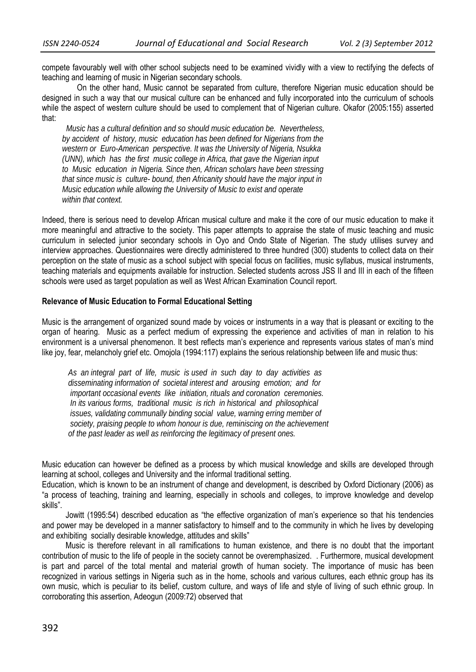compete favourably well with other school subjects need to be examined vividly with a view to rectifying the defects of teaching and learning of music in Nigerian secondary schools.

 On the other hand, Music cannot be separated from culture, therefore Nigerian music education should be designed in such a way that our musical culture can be enhanced and fully incorporated into the curriculum of schools while the aspect of western culture should be used to complement that of Nigerian culture. Okafor (2005:155) asserted that:

 *Music has a cultural definition and so should music education be. Nevertheless, by accident of history, music education has been defined for Nigerians from the western or Euro-American perspective. It was the University of Nigeria, Nsukka (UNN), which has the first music college in Africa, that gave the Nigerian input to Music education in Nigeria. Since then, African scholars have been stressing that since music is culture- bound, then Africanity should have the major input in Music education while allowing the University of Music to exist and operate within that context.*

Indeed, there is serious need to develop African musical culture and make it the core of our music education to make it more meaningful and attractive to the society. This paper attempts to appraise the state of music teaching and music curriculum in selected junior secondary schools in Oyo and Ondo State of Nigerian. The study utilises survey and interview approaches. Questionnaires were directly administered to three hundred (300) students to collect data on their perception on the state of music as a school subject with special focus on facilities, music syllabus, musical instruments, teaching materials and equipments available for instruction. Selected students across JSS II and III in each of the fifteen schools were used as target population as well as West African Examination Council report.

### **Relevance of Music Education to Formal Educational Setting**

Music is the arrangement of organized sound made by voices or instruments in a way that is pleasant or exciting to the organ of hearing. Music as a perfect medium of expressing the experience and activities of man in relation to his environment is a universal phenomenon. It best reflects man's experience and represents various states of man's mind like joy, fear, melancholy grief etc. Omojola (1994:117) explains the serious relationship between life and music thus:

 *As an integral part of life, music is used in such day to day activities as disseminating information of societal interest and arousing emotion; and for important occasional events like initiation, rituals and coronation ceremonies. In its various forms, traditional music is rich in historical and philosophical issues, validating communally binding social value, warning erring member of society, praising people to whom honour is due, reminiscing on the achievement of the past leader as well as reinforcing the legitimacy of present ones.*

Music education can however be defined as a process by which musical knowledge and skills are developed through learning at school, colleges and University and the informal traditional setting.

Education, which is known to be an instrument of change and development, is described by Oxford Dictionary (2006) as "a process of teaching, training and learning, especially in schools and colleges, to improve knowledge and develop skills".

Jowitt (1995:54) described education as "the effective organization of man's experience so that his tendencies and power may be developed in a manner satisfactory to himself and to the community in which he lives by developing and exhibiting socially desirable knowledge, attitudes and skills"

Music is therefore relevant in all ramifications to human existence, and there is no doubt that the important contribution of music to the life of people in the society cannot be overemphasized. . Furthermore, musical development is part and parcel of the total mental and material growth of human society. The importance of music has been recognized in various settings in Nigeria such as in the home, schools and various cultures, each ethnic group has its own music, which is peculiar to its belief, custom culture, and ways of life and style of living of such ethnic group. In corroborating this assertion, Adeogun (2009:72) observed that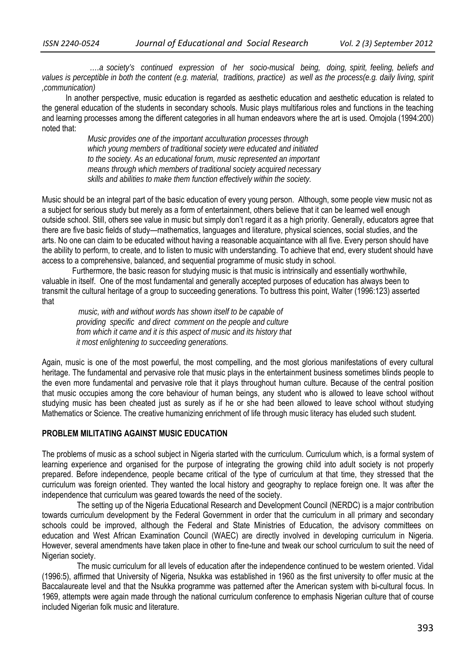*….a society's continued expression of her socio-musical being, doing, spirit, feeling, beliefs and values is perceptible in both the content (e.g. material, traditions, practice) as well as the process(e.g. daily living, spirit ,communication)* 

In another perspective, music education is regarded as aesthetic education and aesthetic education is related to the general education of the students in secondary schools. Music plays multifarious roles and functions in the teaching and learning processes among the different categories in all human endeavors where the art is used. Omojola (1994:200) noted that:

> *Music provides one of the important acculturation processes through which young members of traditional society were educated and initiated to the society. As an educational forum, music represented an important means through which members of traditional society acquired necessary skills and abilities to make them function effectively within the society.*

Music should be an integral part of the basic education of every young person. Although, some people view music not as a subject for serious study but merely as a form of entertainment, others believe that it can be learned well enough outside school. Still, others see value in music but simply don't regard it as a high priority. Generally, educators agree that there are five basic fields of study—mathematics, languages and literature, physical sciences, social studies, and the arts. No one can claim to be educated without having a reasonable acquaintance with all five. Every person should have the ability to perform, to create, and to listen to music with understanding. To achieve that end, every student should have access to a comprehensive, balanced, and sequential programme of music study in school.

 Furthermore, the basic reason for studying music is that music is intrinsically and essentially worthwhile, valuable in itself. One of the most fundamental and generally accepted purposes of education has always been to transmit the cultural heritage of a group to succeeding generations. To buttress this point, Walter (1996:123) asserted that

 *music, with and without words has shown itself to be capable of providing specific and direct comment on the people and culture from which it came and it is this aspect of music and its history that it most enlightening to succeeding generations.* 

Again, music is one of the most powerful, the most compelling, and the most glorious manifestations of every cultural heritage. The fundamental and pervasive role that music plays in the entertainment business sometimes blinds people to the even more fundamental and pervasive role that it plays throughout human culture. Because of the central position that music occupies among the core behaviour of human beings, any student who is allowed to leave school without studying music has been cheated just as surely as if he or she had been allowed to leave school without studying Mathematics or Science. The creative humanizing enrichment of life through music literacy has eluded such student.

### **PROBLEM MILITATING AGAINST MUSIC EDUCATION**

The problems of music as a school subject in Nigeria started with the curriculum. Curriculum which, is a formal system of learning experience and organised for the purpose of integrating the growing child into adult society is not properly prepared. Before independence, people became critical of the type of curriculum at that time, they stressed that the curriculum was foreign oriented. They wanted the local history and geography to replace foreign one. It was after the independence that curriculum was geared towards the need of the society.

 The setting up of the Nigeria Educational Research and Development Council (NERDC) is a major contribution towards curriculum development by the Federal Government in order that the curriculum in all primary and secondary schools could be improved, although the Federal and State Ministries of Education, the advisory committees on education and West African Examination Council (WAEC) are directly involved in developing curriculum in Nigeria. However, several amendments have taken place in other to fine-tune and tweak our school curriculum to suit the need of Nigerian society.

 The music curriculum for all levels of education after the independence continued to be western oriented. Vidal (1996:5), affirmed that University of Nigeria, Nsukka was established in 1960 as the first university to offer music at the Baccalaureate level and that the Nsukka programme was patterned after the American system with bi-cultural focus. In 1969, attempts were again made through the national curriculum conference to emphasis Nigerian culture that of course included Nigerian folk music and literature.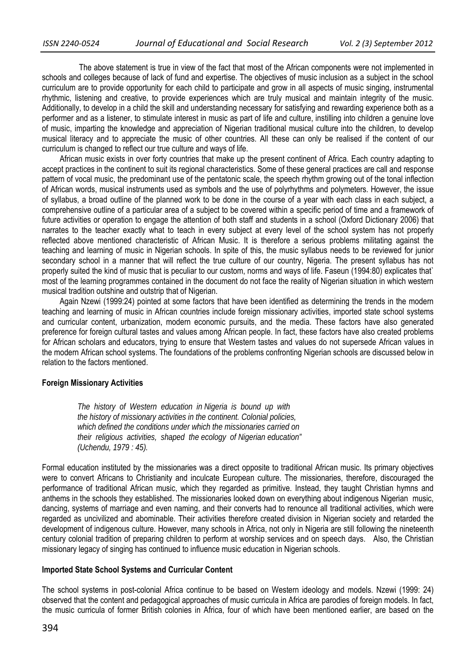The above statement is true in view of the fact that most of the African components were not implemented in schools and colleges because of lack of fund and expertise. The objectives of music inclusion as a subject in the school curriculum are to provide opportunity for each child to participate and grow in all aspects of music singing, instrumental rhythmic, listening and creative, to provide experiences which are truly musical and maintain integrity of the music. Additionally, to develop in a child the skill and understanding necessary for satisfying and rewarding experience both as a performer and as a listener, to stimulate interest in music as part of life and culture, instilling into children a genuine love of music, imparting the knowledge and appreciation of Nigerian traditional musical culture into the children, to develop musical literacy and to appreciate the music of other countries. All these can only be realised if the content of our curriculum is changed to reflect our true culture and ways of life.

African music exists in over forty countries that make up the present continent of Africa. Each country adapting to accept practices in the continent to suit its regional characteristics. Some of these general practices are call and response pattern of vocal music, the predominant use of the pentatonic scale, the speech rhythm growing out of the tonal inflection of African words, musical instruments used as symbols and the use of polyrhythms and polymeters. However, the issue of syllabus, a broad outline of the planned work to be done in the course of a year with each class in each subject, a comprehensive outline of a particular area of a subject to be covered within a specific period of time and a framework of future activities or operation to engage the attention of both staff and students in a school (Oxford Dictionary 2006) that narrates to the teacher exactly what to teach in every subject at every level of the school system has not properly reflected above mentioned characteristic of African Music. It is therefore a serious problems militating against the teaching and learning of music in Nigerian schools. In spite of this, the music syllabus needs to be reviewed for junior secondary school in a manner that will reflect the true culture of our country, Nigeria. The present syllabus has not properly suited the kind of music that is peculiar to our custom, norms and ways of life. Faseun (1994:80) explicates that` most of the learning programmes contained in the document do not face the reality of Nigerian situation in which western musical tradition outshine and outstrip that of Nigerian.

Again Nzewi (1999:24) pointed at some factors that have been identified as determining the trends in the modern teaching and learning of music in African countries include foreign missionary activities, imported state school systems and curricular content, urbanization, modern economic pursuits, and the media. These factors have also generated preference for foreign cultural tastes and values among African people. In fact, these factors have also created problems for African scholars and educators, trying to ensure that Western tastes and values do not supersede African values in the modern African school systems. The foundations of the problems confronting Nigerian schools are discussed below in relation to the factors mentioned.

### **Foreign Missionary Activities**

*The history of Western education in Nigeria is bound up with the history of missionary activities in the continent. Colonial policies, which defined the conditions under which the missionaries carried on their religious activities, shaped the ecology of Nigerian education" (Uchendu, 1979 : 45).* 

Formal education instituted by the missionaries was a direct opposite to traditional African music. Its primary objectives were to convert Africans to Christianity and inculcate European culture. The missionaries, therefore, discouraged the performance of traditional African music, which they regarded as primitive. Instead, they taught Christian hymns and anthems in the schools they established. The missionaries looked down on everything about indigenous Nigerian music, dancing, systems of marriage and even naming, and their converts had to renounce all traditional activities, which were regarded as uncivilized and abominable. Their activities therefore created division in Nigerian society and retarded the development of indigenous culture. However, many schools in Africa, not only in Nigeria are still following the nineteenth century colonial tradition of preparing children to perform at worship services and on speech days. Also, the Christian missionary legacy of singing has continued to influence music education in Nigerian schools.

### **Imported State School Systems and Curricular Content**

The school systems in post-colonial Africa continue to be based on Western ideology and models. Nzewi (1999: 24) observed that the content and pedagogical approaches of music curricula in Africa are parodies of foreign models. In fact, the music curricula of former British colonies in Africa, four of which have been mentioned earlier, are based on the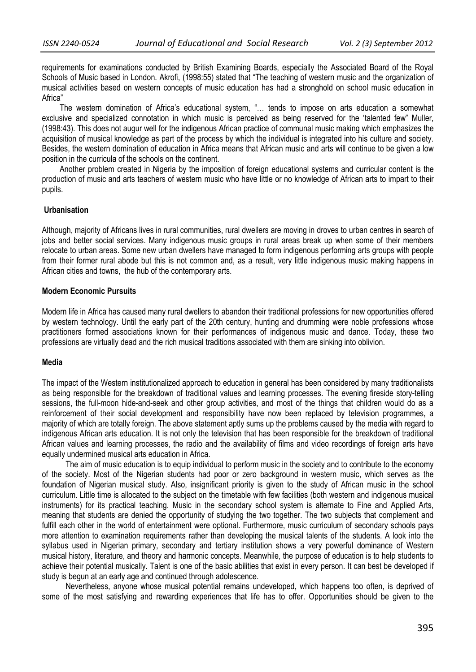requirements for examinations conducted by British Examining Boards, especially the Associated Board of the Royal Schools of Music based in London. Akrofi, (1998:55) stated that "The teaching of western music and the organization of musical activities based on western concepts of music education has had a stronghold on school music education in Africa"

The western domination of Africa's educational system, "… tends to impose on arts education a somewhat exclusive and specialized connotation in which music is perceived as being reserved for the 'talented few" Muller, (1998:43). This does not augur well for the indigenous African practice of communal music making which emphasizes the acquisition of musical knowledge as part of the process by which the individual is integrated into his culture and society. Besides, the western domination of education in Africa means that African music and arts will continue to be given a low position in the curricula of the schools on the continent.

Another problem created in Nigeria by the imposition of foreign educational systems and curricular content is the production of music and arts teachers of western music who have little or no knowledge of African arts to impart to their pupils.

#### **Urbanisation**

Although, majority of Africans lives in rural communities, rural dwellers are moving in droves to urban centres in search of jobs and better social services. Many indigenous music groups in rural areas break up when some of their members relocate to urban areas. Some new urban dwellers have managed to form indigenous performing arts groups with people from their former rural abode but this is not common and, as a result, very little indigenous music making happens in African cities and towns, the hub of the contemporary arts.

#### **Modern Economic Pursuits**

Modern life in Africa has caused many rural dwellers to abandon their traditional professions for new opportunities offered by western technology. Until the early part of the 20th century, hunting and drumming were noble professions whose practitioners formed associations known for their performances of indigenous music and dance. Today, these two professions are virtually dead and the rich musical traditions associated with them are sinking into oblivion.

### **Media**

The impact of the Western institutionalized approach to education in general has been considered by many traditionalists as being responsible for the breakdown of traditional values and learning processes. The evening fireside story-telling sessions, the full-moon hide-and-seek and other group activities, and most of the things that children would do as a reinforcement of their social development and responsibility have now been replaced by television programmes, a majority of which are totally foreign. The above statement aptly sums up the problems caused by the media with regard to indigenous African arts education. It is not only the television that has been responsible for the breakdown of traditional African values and learning processes, the radio and the availability of films and video recordings of foreign arts have equally undermined musical arts education in Africa.

The aim of music education is to equip individual to perform music in the society and to contribute to the economy of the society. Most of the Nigerian students had poor or zero background in western music, which serves as the foundation of Nigerian musical study. Also, insignificant priority is given to the study of African music in the school curriculum. Little time is allocated to the subject on the timetable with few facilities (both western and indigenous musical instruments) for its practical teaching. Music in the secondary school system is alternate to Fine and Applied Arts, meaning that students are denied the opportunity of studying the two together. The two subjects that complement and fulfill each other in the world of entertainment were optional. Furthermore, music curriculum of secondary schools pays more attention to examination requirements rather than developing the musical talents of the students. A look into the syllabus used in Nigerian primary, secondary and tertiary institution shows a very powerful dominance of Western musical history, literature, and theory and harmonic concepts. Meanwhile, the purpose of education is to help students to achieve their potential musically. Talent is one of the basic abilities that exist in every person. It can best be developed if study is begun at an early age and continued through adolescence.

Nevertheless, anyone whose musical potential remains undeveloped, which happens too often, is deprived of some of the most satisfying and rewarding experiences that life has to offer. Opportunities should be given to the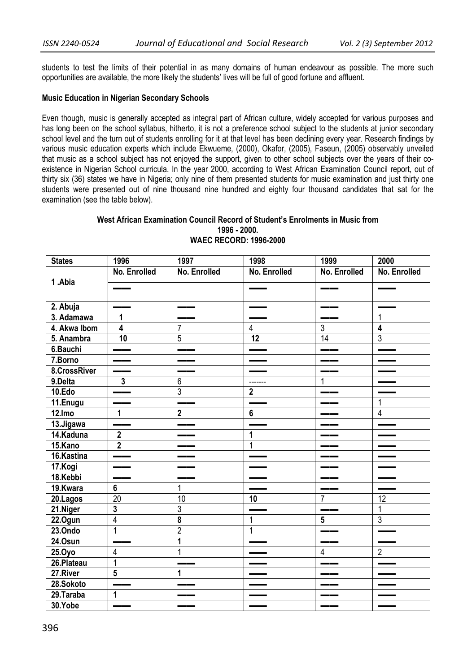students to test the limits of their potential in as many domains of human endeavour as possible. The more such opportunities are available, the more likely the students' lives will be full of good fortune and affluent.

### **Music Education in Nigerian Secondary Schools**

Even though, music is generally accepted as integral part of African culture, widely accepted for various purposes and has long been on the school syllabus, hitherto, it is not a preference school subject to the students at junior secondary school level and the turn out of students enrolling for it at that level has been declining every year. Research findings by various music education experts which include Ekwueme, (2000), Okafor, (2005), Faseun, (2005) observably unveiled that music as a school subject has not enjoyed the support, given to other school subjects over the years of their coexistence in Nigerian School curricula. In the year 2000, according to West African Examination Council report, out of thirty six (36) states we have in Nigeria; only nine of them presented students for music examination and just thirty one students were presented out of nine thousand nine hundred and eighty four thousand candidates that sat for the examination (see the table below).

#### **West African Examination Council Record of Student's Enrolments in Music from 1996 - 2000. WAEC RECORD: 1996-2000**

| <b>States</b> | 1996                               | 1997                          | 1998            | 1999            | 2000                     |
|---------------|------------------------------------|-------------------------------|-----------------|-----------------|--------------------------|
|               | No. Enrolled                       | No. Enrolled                  | No. Enrolled    | No. Enrolled    | No. Enrolled             |
| 1.Abia        |                                    |                               |                 |                 |                          |
| 2. Abuja      |                                    |                               |                 |                 |                          |
| 3. Adamawa    | $\mathbf{1}$                       |                               |                 |                 | 1                        |
| 4. Akwa Ibom  | $\overline{4}$                     | $\overline{7}$                | $\overline{4}$  | $\overline{3}$  | $\overline{4}$           |
| 5. Anambra    | 10                                 | $\overline{5}$                | $\overline{12}$ | 14              | $\overline{3}$           |
| 6.Bauchi      |                                    |                               |                 |                 |                          |
| 7.Borno       | $\overline{\phantom{iiiiiiiiiii}}$ |                               |                 |                 |                          |
| 8.CrossRiver  | —                                  |                               |                 |                 |                          |
| 9.Delta       | $\overline{3}$                     | $\,6\,$                       | -------         | $\mathbf{1}$    |                          |
| 10.Edo        |                                    | $\overline{3}$                | $\overline{2}$  |                 |                          |
| 11.Enugu      |                                    |                               |                 |                 | $\overline{1}$           |
| 12.Imo        | $\overline{1}$                     | $\overline{2}$                | $6\phantom{a}$  |                 | $\overline{4}$           |
| 13.Jigawa     | <u>—</u>                           | $\overbrace{\phantom{aaaaa}}$ |                 |                 | $\overline{\phantom{a}}$ |
| 14.Kaduna     | $\overline{2}$                     |                               | 1               |                 |                          |
| 15.Kano       | $\overline{2}$                     |                               | $\overline{1}$  |                 |                          |
| 16.Kastina    | $\overline{\phantom{0}}$           |                               |                 |                 |                          |
| 17.Kogi       |                                    |                               |                 |                 |                          |
| 18.Kebbi      |                                    |                               |                 |                 |                          |
| 19.Kwara      | $\overline{6}$                     | $\overline{1}$                |                 |                 |                          |
| 20.Lagos      | $\overline{20}$                    | 10                            | 10              | $\overline{7}$  | 12                       |
| 21.Niger      | $\mathbf{3}$                       | $\overline{3}$                |                 |                 | $\overline{1}$           |
| 22.Ogun       | $\overline{4}$                     | $\overline{\mathbf{8}}$       | 1               | $5\overline{)}$ | $\overline{3}$           |
| 23.0ndo       | $\mathbf{1}$                       | $\overline{2}$                | $\mathbf{1}$    |                 |                          |
| 24.Osun       |                                    | $\overline{1}$                |                 |                 |                          |
| 25.0yo        | $\overline{4}$                     | $\mathbf{1}$                  |                 | 4               | $\overline{2}$           |
| 26.Plateau    | $\overline{1}$                     | $\blacksquare$                |                 |                 |                          |
| 27.River      | $5\phantom{a}$                     | $\mathbf{1}$                  |                 |                 |                          |
| 28.Sokoto     |                                    |                               |                 |                 |                          |
| $29.$ Taraba  | $\mathbf{1}$                       |                               |                 |                 |                          |
| 30.Yobe       |                                    |                               |                 |                 |                          |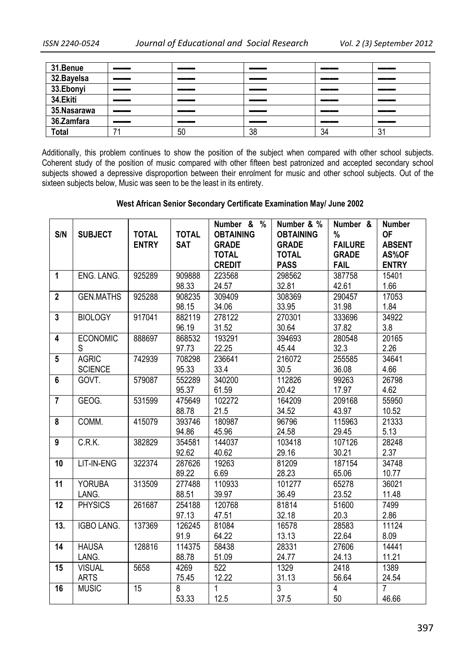| 31.Benue     | __  | ___ | ___ |    |           |
|--------------|-----|-----|-----|----|-----------|
| 32. Bayelsa  | __  | __  | ___ |    |           |
| 33.Ebonyi    | __  | __  | ___ |    | __        |
| 34.Ekiti     | __  | __  | ___ |    |           |
| 35.Nasarawa  | __  | __  | ___ |    | __        |
| 36.Zamfara   | ___ | __  | __  |    | ----      |
| <b>Total</b> |     | 50  | 38  | 34 | n.<br>ا گ |

Additionally, this problem continues to show the position of the subject when compared with other school subjects. Coherent study of the position of music compared with other fifteen best patronized and accepted secondary school subjects showed a depressive disproportion between their enrolment for music and other school subjects. Out of the sixteen subjects below, Music was seen to be the least in its entirety.

# **West African Senior Secondary Certificate Examination May/ June 2002**

|                         |                   |              |                | Number & %       | Number & %       | Number &       | <b>Number</b>  |
|-------------------------|-------------------|--------------|----------------|------------------|------------------|----------------|----------------|
| S/N                     | <b>SUBJECT</b>    | <b>TOTAL</b> | <b>TOTAL</b>   | <b>OBTAINING</b> | <b>OBTAINING</b> | %              | <b>OF</b>      |
|                         |                   | <b>ENTRY</b> | <b>SAT</b>     | <b>GRADE</b>     | <b>GRADE</b>     | <b>FAILURE</b> | <b>ABSENT</b>  |
|                         |                   |              |                | <b>TOTAL</b>     | <b>TOTAL</b>     | <b>GRADE</b>   | AS%OF          |
|                         |                   |              |                | <b>CREDIT</b>    | <b>PASS</b>      | <b>FAIL</b>    | <b>ENTRY</b>   |
| $\mathbf{1}$            | ENG. LANG.        | 925289       | 909888         | 223568           | 298562           | 387758         | 15401          |
|                         |                   |              | 98.33          | 24.57            | 32.81            | 42.61          | 1.66           |
| $\overline{2}$          | <b>GEN.MATHS</b>  | 925288       | 908235         | 309409           | 308369           | 290457         | 17053          |
|                         |                   |              | 98.15          | 34.06            | 33.95            | 31.98          | 1.84           |
| $\mathbf{3}$            | <b>BIOLOGY</b>    | 917041       | 882119         | 278122           | 270301           | 333696         | 34922          |
|                         |                   |              | 96.19          | 31.52            | 30.64            | 37.82          | 3.8            |
| $\overline{\mathbf{4}}$ | <b>ECONOMIC</b>   | 888697       | 868532         | 193291           | 394693           | 280548         | 20165          |
|                         | S                 |              | 97.73          | 22.25            | 45.44            | 32.3           | 2.26           |
| $5\phantom{.0}$         | <b>AGRIC</b>      | 742939       | 708298         | 236641           | 216072           | 255585         | 34641          |
|                         | <b>SCIENCE</b>    |              | 95.33          | 33.4             | 30.5             | 36.08          | 4.66           |
| $6\phantom{1}$          | GOVT.             | 579087       | 552289         | 340200           | 112826           | 99263          | 26798          |
|                         |                   |              | 95.37          | 61.59            | 20.42            | 17.97          | 4.62           |
| $\overline{7}$          | GEOG.             | 531599       | 475649         | 102272           | 164209           | 209168         | 55950          |
|                         |                   |              | 88.78          | 21.5             | 34.52            | 43.97          | 10.52          |
| 8                       | COMM.             | 415079       | 393746         | 180987           | 96796            | 115963         | 21333          |
|                         |                   |              | 94.86          | 45.96            | 24.58            | 29.45          | 5.13           |
| 9                       | C.R.K.            | 382829       | 354581         | 144037           | 103418           | 107126         | 28248          |
|                         |                   |              | 92.62          | 40.62            | 29.16            | 30.21          | 2.37           |
| 10                      | LIT-IN-ENG        | 322374       | 287626         | 19263            | 81209            | 187154         | 34748          |
|                         |                   |              | 89.22          | 6.69             | 28.23            | 65.06          | 10.77          |
| 11                      | <b>YORUBA</b>     | 313509       | 277488         | 110933           | 101277           | 65278          | 36021          |
|                         | LANG.             |              | 88.51          | 39.97            | 36.49            | 23.52          | 11.48          |
| 12                      | <b>PHYSICS</b>    | 261687       | 254188         | 120768           | 81814            | 51600          | 7499           |
|                         |                   |              | 97.13          | 47.51            | 32.18            | 20.3           | 2.86           |
| 13.                     | <b>IGBO LANG.</b> | 137369       | 126245         | 81084            | 16578            | 28583          | 11124          |
|                         |                   |              | 91.9           | 64.22            | 13.13            | 22.64          | 8.09           |
| 14                      | <b>HAUSA</b>      | 128816       | 114375         | 58438            | 28331            | 27606          | 14441          |
|                         | LANG.             |              | 88.78          | 51.09            | 24.77            | 24.13          | 11.21          |
| 15                      | <b>VISUAL</b>     | 5658         | 4269           | 522              | 1329             | 2418           | 1389           |
|                         | <b>ARTS</b>       |              | 75.45          | 12.22            | 31.13            | 56.64          | 24.54          |
| 16                      | <b>MUSIC</b>      | 15           | $\overline{8}$ | $\mathbf{1}$     | $\overline{3}$   | $\overline{4}$ | $\overline{7}$ |
|                         |                   |              | 53.33          | 12.5             | 37.5             | 50             | 46.66          |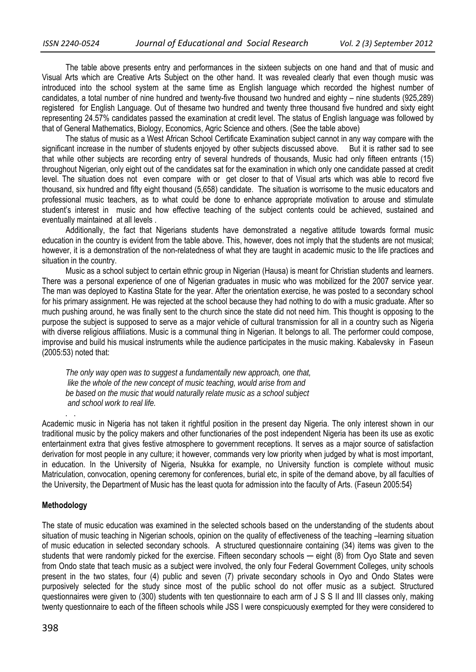The table above presents entry and performances in the sixteen subjects on one hand and that of music and Visual Arts which are Creative Arts Subject on the other hand. It was revealed clearly that even though music was introduced into the school system at the same time as English language which recorded the highest number of candidates, a total number of nine hundred and twenty-five thousand two hundred and eighty – nine students (925,289) registered for English Language. Out of thesame two hundred and twenty three thousand five hundred and sixty eight representing 24.57% candidates passed the examination at credit level. The status of English language was followed by that of General Mathematics, Biology, Economics, Agric Science and others. (See the table above)

The status of music as a West African School Certificate Examination subject cannot in any way compare with the significant increase in the number of students enjoyed by other subjects discussed above. But it is rather sad to see that while other subjects are recording entry of several hundreds of thousands, Music had only fifteen entrants (15) throughout Nigerian, only eight out of the candidates sat for the examination in which only one candidate passed at credit level. The situation does not even compare with or get closer to that of Visual arts which was able to record five thousand, six hundred and fifty eight thousand (5,658) candidate. The situation is worrisome to the music educators and professional music teachers, as to what could be done to enhance appropriate motivation to arouse and stimulate student's interest in music and how effective teaching of the subject contents could be achieved, sustained and eventually maintained at all levels .

Additionally, the fact that Nigerians students have demonstrated a negative attitude towards formal music education in the country is evident from the table above. This, however, does not imply that the students are not musical; however, it is a demonstration of the non-relatedness of what they are taught in academic music to the life practices and situation in the country.

Music as a school subject to certain ethnic group in Nigerian (Hausa) is meant for Christian students and learners. There was a personal experience of one of Nigerian graduates in music who was mobilized for the 2007 service year. The man was deployed to Kastina State for the year. After the orientation exercise, he was posted to a secondary school for his primary assignment. He was rejected at the school because they had nothing to do with a music graduate. After so much pushing around, he was finally sent to the church since the state did not need him. This thought is opposing to the purpose the subject is supposed to serve as a major vehicle of cultural transmission for all in a country such as Nigeria with diverse religious affiliations. Music is a communal thing in Nigerian. It belongs to all. The performer could compose, improvise and build his musical instruments while the audience participates in the music making. Kabalevsky in Faseun (2005:53) noted that:

*The only way open was to suggest a fundamentally new approach, one that, like the whole of the new concept of music teaching, would arise from and be based on the music that would naturally relate music as a school subject and school work to real life.* 

Academic music in Nigeria has not taken it rightful position in the present day Nigeria. The only interest shown in our traditional music by the policy makers and other functionaries of the post independent Nigeria has been its use as exotic entertainment extra that gives festive atmosphere to government receptions. It serves as a major source of satisfaction derivation for most people in any culture; it however, commands very low priority when judged by what is most important, in education. In the University of Nigeria, Nsukka for example, no University function is complete without music Matriculation, convocation, opening ceremony for conferences, burial etc, in spite of the demand above, by all faculties of the University, the Department of Music has the least quota for admission into the faculty of Arts. (Faseun 2005:54}

#### **Methodology**

*.* .

The state of music education was examined in the selected schools based on the understanding of the students about situation of music teaching in Nigerian schools, opinion on the quality of effectiveness of the teaching –learning situation of music education in selected secondary schools. A structured questionnaire containing (34) items was given to the students that were randomly picked for the exercise. Fifteen secondary schools — eight (8) from Oyo State and seven from Ondo state that teach music as a subject were involved, the only four Federal Government Colleges, unity schools present in the two states, four (4) public and seven (7) private secondary schools in Oyo and Ondo States were purposively selected for the study since most of the public school do not offer music as a subject. Structured questionnaires were given to (300) students with ten questionnaire to each arm of J S S II and III classes only, making twenty questionnaire to each of the fifteen schools while JSS I were conspicuously exempted for they were considered to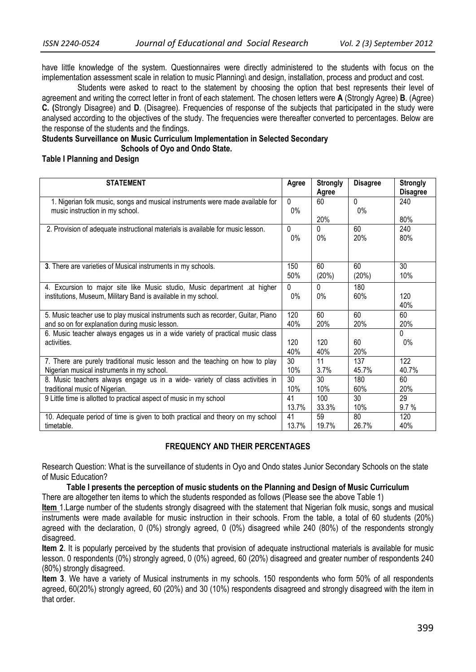have little knowledge of the system. Questionnaires were directly administered to the students with focus on the implementation assessment scale in relation to music Planning\ and design, installation, process and product and cost.

Students were asked to react to the statement by choosing the option that best represents their level of agreement and writing the correct letter in front of each statement. The chosen letters were **A** (Strongly Agree) **B**. (Agree) **C. (**Strongly Disagree) and **D**. (Disagree). Frequencies of response of the subjects that participated in the study were analysed according to the objectives of the study. The frequencies were thereafter converted to percentages. Below are the response of the students and the findings.

**Students Surveillance on Music Curriculum Implementation in Selected Secondary Schools of Oyo and Ondo State.**

**Table I Planning and Design** 

| <b>STATEMENT</b>                                                                 | Agree           | <b>Strongly</b><br>Agree | <b>Disagree</b> | <b>Strongly</b><br><b>Disagree</b> |
|----------------------------------------------------------------------------------|-----------------|--------------------------|-----------------|------------------------------------|
| 1. Nigerian folk music, songs and musical instruments were made available for    | 0               | 60                       | $\Omega$        | 240                                |
| music instruction in my school.                                                  | $0\%$           |                          | $0\%$           |                                    |
|                                                                                  |                 | 20%                      |                 | 80%                                |
| 2. Provision of adequate instructional materials is available for music lesson.  | $\Omega$        | $\Omega$                 | 60              | 240                                |
|                                                                                  | $0\%$           | $0\%$                    | 20%             | 80%                                |
|                                                                                  |                 |                          |                 |                                    |
| 3. There are varieties of Musical instruments in my schools.                     | 150             | 60                       | 60              | 30 <sup>°</sup>                    |
|                                                                                  | 50%             | (20%)                    | (20%)           | 10%                                |
| 4. Excursion to major site like Music studio, Music department .at higher        | <sup>0</sup>    | 0                        | 180             |                                    |
| institutions, Museum, Military Band is available in my school.                   | $0\%$           | $0\%$                    | 60%             | 120                                |
|                                                                                  |                 |                          |                 | 40%                                |
| 5. Music teacher use to play musical instruments such as recorder, Guitar, Piano | 120             | 60                       | 60              | 60                                 |
| and so on for explanation during music lesson.                                   | 40%             | 20%                      | 20%             | 20%                                |
| 6. Music teacher always engages us in a wide variety of practical music class    |                 |                          |                 | $\Omega$                           |
| activities.                                                                      | 120             | 120                      | 60              | 0%                                 |
|                                                                                  | 40%             | 40%                      | 20%             |                                    |
| 7. There are purely traditional music lesson and the teaching on how to play     | 30 <sup>2</sup> | 11                       | 137             | 122                                |
| Nigerian musical instruments in my school.                                       | 10%             | 3.7%                     | 45.7%           | 40.7%                              |
| 8. Music teachers always engage us in a wide- variety of class activities in     | 30              | 30                       | 180             | 60                                 |
| traditional music of Nigerian.                                                   | 10%             | 10%                      | 60%             | <b>20%</b>                         |
| 9 Little time is allotted to practical aspect of music in my school              | 41              | 100                      | 30              | 29                                 |
|                                                                                  | 13.7%           | 33.3%                    | 10%             | 9.7%                               |
| 10. Adequate period of time is given to both practical and theory on my school   | 41              | 59                       | 80              | 120                                |
| timetable.                                                                       | 13.7%           | 19.7%                    | 26.7%           | 40%                                |

# **FREQUENCY AND THEIR PERCENTAGES**

Research Question: What is the surveillance of students in Oyo and Ondo states Junior Secondary Schools on the state of Music Education?

**Table I presents the perception of music students on the Planning and Design of Music Curriculum**  There are altogether ten items to which the students responded as follows (Please see the above Table 1)

**Item** 1.Large number of the students strongly disagreed with the statement that Nigerian folk music, songs and musical instruments were made available for music instruction in their schools. From the table, a total of 60 students (20%) agreed with the declaration, 0 (0%) strongly agreed, 0 (0%) disagreed while 240 (80%) of the respondents strongly disagreed.

**Item 2**. It is popularly perceived by the students that provision of adequate instructional materials is available for music lesson. 0 respondents (0%) strongly agreed, 0 (0%) agreed, 60 (20%) disagreed and greater number of respondents 240 (80%) strongly disagreed.

**Item 3**. We have a variety of Musical instruments in my schools. 150 respondents who form 50% of all respondents agreed, 60(20%) strongly agreed, 60 (20%) and 30 (10%) respondents disagreed and strongly disagreed with the item in that order.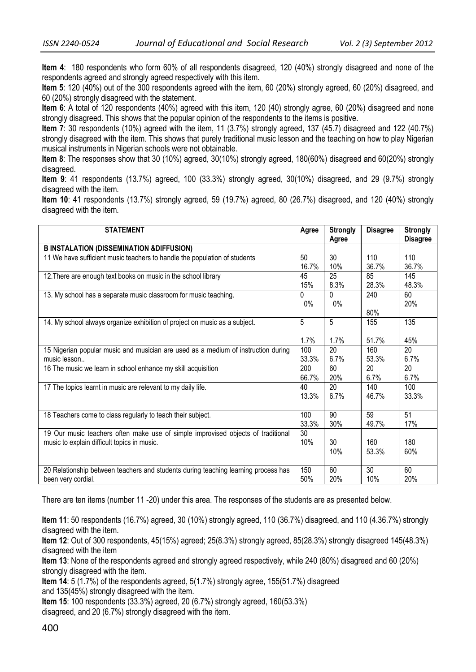**Item 4**: 180 respondents who form 60% of all respondents disagreed, 120 (40%) strongly disagreed and none of the respondents agreed and strongly agreed respectively with this item.

**Item 5**: 120 (40%) out of the 300 respondents agreed with the item, 60 (20%) strongly agreed, 60 (20%) disagreed, and 60 (20%) strongly disagreed with the statement.

**Item 6**: A total of 120 respondents (40%) agreed with this item, 120 (40) strongly agree, 60 (20%) disagreed and none strongly disagreed. This shows that the popular opinion of the respondents to the items is positive.

**Item 7**: 30 respondents (10%) agreed with the item, 11 (3.7%) strongly agreed, 137 (45.7) disagreed and 122 (40.7%) strongly disagreed with the item. This shows that purely traditional music lesson and the teaching on how to play Nigerian musical instruments in Nigerian schools were not obtainable.

**Item 8**: The responses show that 30 (10%) agreed, 30(10%) strongly agreed, 180(60%) disagreed and 60(20%) strongly disagreed.

**Item 9**: 41 respondents (13.7%) agreed, 100 (33.3%) strongly agreed, 30(10%) disagreed, and 29 (9.7%) strongly disagreed with the item.

**Item 10**: 41 respondents (13.7%) strongly agreed, 59 (19.7%) agreed, 80 (26.7%) disagreed, and 120 (40%) strongly disagreed with the item.

| <b>STATEMENT</b>                                                                   | Agree    | <b>Strongly</b><br>Agree | <b>Disagree</b> | <b>Strongly</b><br><b>Disagree</b> |
|------------------------------------------------------------------------------------|----------|--------------------------|-----------------|------------------------------------|
| <b>B INSTALATION (DISSEMINATION &amp; DIFFUSION)</b>                               |          |                          |                 |                                    |
| 11 We have sufficient music teachers to handle the population of students          | 50       | 30                       | 110             | 110                                |
|                                                                                    | 16.7%    | 10%                      | 36.7%           | 36.7%                              |
| 12. There are enough text books on music in the school library                     | 45       | 25                       | 85              | 145                                |
|                                                                                    | 15%      | 8.3%                     | 28.3%           | 48.3%                              |
| 13. My school has a separate music classroom for music teaching.                   | $\Omega$ | 0                        | 240             | 60                                 |
|                                                                                    | 0%       | $0\%$                    | 80%             | 20%                                |
| 14. My school always organize exhibition of project on music as a subject.         | 5        | 5                        | 155             | 135                                |
|                                                                                    | 1.7%     | 1.7%                     | 51.7%           | 45%                                |
| 15 Nigerian popular music and musician are used as a medium of instruction during  | 100      | 20                       | 160             | 20                                 |
| music lesson                                                                       | 33.3%    | 6.7%                     | 53.3%           | 6.7%                               |
| 16 The music we learn in school enhance my skill acquisition                       | 200      | 60                       | 20              | 20                                 |
|                                                                                    | 66.7%    | 20%                      | 6.7%            | 6.7%                               |
| 17 The topics learnt in music are relevant to my daily life.                       | 40       | 20                       | 140             | 100                                |
|                                                                                    | 13.3%    | 6.7%                     | 46.7%           | 33.3%                              |
| 18 Teachers come to class regularly to teach their subject.                        | 100      | 90                       | 59              | 51                                 |
|                                                                                    | 33.3%    | 30%                      | 49.7%           | 17%                                |
| 19 Our music teachers often make use of simple improvised objects of traditional   | 30       | 30                       | 160             | 180                                |
| music to explain difficult topics in music.                                        | 10%      | 10%                      | 53.3%           | 60%                                |
| 20 Relationship between teachers and students during teaching learning process has | 150      | 60                       | 30              | 60                                 |
| been very cordial.                                                                 | 50%      | 20%                      | 10%             | 20%                                |

There are ten items (number 11 -20) under this area. The responses of the students are as presented below.

**Item 11**: 50 respondents (16.7%) agreed, 30 (10%) strongly agreed, 110 (36.7%) disagreed, and 110 (4.36.7%) strongly disagreed with the item.

**Item 12**: Out of 300 respondents, 45(15%) agreed; 25(8.3%) strongly agreed, 85(28.3%) strongly disagreed 145(48.3%) disagreed with the item

**Item 13**: None of the respondents agreed and strongly agreed respectively, while 240 (80%) disagreed and 60 (20%) strongly disagreed with the item.

**Item 14**: 5 (1.7%) of the respondents agreed, 5(1.7%) strongly agree, 155(51.7%) disagreed and 135(45%) strongly disagreed with the item.

**Item 15**: 100 respondents (33.3%) agreed, 20 (6.7%) strongly agreed, 160(53.3%) disagreed, and 20 (6.7%) strongly disagreed with the item.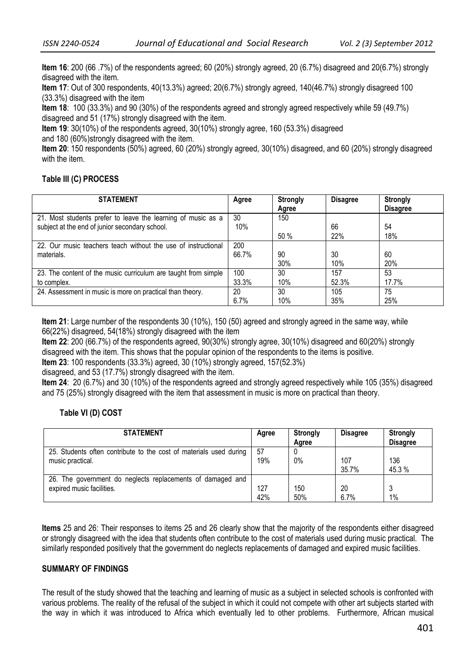**Item 16**: 200 (66 .7%) of the respondents agreed; 60 (20%) strongly agreed, 20 (6.7%) disagreed and 20(6.7%) strongly disagreed with the item.

**Item 17**: Out of 300 respondents, 40(13.3%) agreed; 20(6.7%) strongly agreed, 140(46.7%) strongly disagreed 100 (33.3%) disagreed with the item

**Item 18**: 100 (33.3%) and 90 (30%) of the respondents agreed and strongly agreed respectively while 59 (49.7%) disagreed and 51 (17%) strongly disagreed with the item.

**Item 19**: 30(10%) of the respondents agreed, 30(10%) strongly agree, 160 (53.3%) disagreed and 180 (60%)strongly disagreed with the item.

**Item 20**: 150 respondents (50%) agreed, 60 (20%) strongly agreed, 30(10%) disagreed, and 60 (20%) strongly disagreed with the item.

# **Table III (C) PROCESS**

| <b>STATEMENT</b>                                               | Agree | <b>Strongly</b><br>Agree | <b>Disagree</b> | <b>Strongly</b><br><b>Disagree</b> |
|----------------------------------------------------------------|-------|--------------------------|-----------------|------------------------------------|
| 21. Most students prefer to leave the learning of music as a   | 30    | 150                      |                 |                                    |
| subject at the end of junior secondary school.                 | 10%   |                          | 66              | 54                                 |
|                                                                |       | 50%                      | 22%             | 18%                                |
| 22. Our music teachers teach without the use of instructional  | 200   |                          |                 |                                    |
| materials.                                                     | 66.7% | 90                       | 30              | 60                                 |
|                                                                |       | 30%                      | 10%             | 20%                                |
| 23. The content of the music curriculum are taught from simple | 100   | 30                       | 157             | 53                                 |
| to complex.                                                    | 33.3% | 10%                      | 52.3%           | 17.7%                              |
| 24. Assessment in music is more on practical than theory.      | 20    | 30                       | 105             | 75                                 |
|                                                                | 6.7%  | 10%                      | 35%             | 25%                                |

**Item 21**: Large number of the respondents 30 (10%), 150 (50) agreed and strongly agreed in the same way, while 66(22%) disagreed, 54(18%) strongly disagreed with the item

**Item 22**: 200 (66.7%) of the respondents agreed, 90(30%) strongly agree, 30(10%) disagreed and 60(20%) strongly disagreed with the item. This shows that the popular opinion of the respondents to the items is positive.

**Item 23**: 100 respondents (33.3%) agreed, 30 (10%) strongly agreed, 157(52.3%)

disagreed, and 53 (17.7%) strongly disagreed with the item.

**Item 24**: 20 (6.7%) and 30 (10%) of the respondents agreed and strongly agreed respectively while 105 (35%) disagreed and 75 (25%) strongly disagreed with the item that assessment in music is more on practical than theory.

# **Table VI (D) COST**

| <b>STATEMENT</b>                                                   | Agree | <b>Strongly</b><br>Agree | <b>Disagree</b> | <b>Strongly</b><br><b>Disagree</b> |
|--------------------------------------------------------------------|-------|--------------------------|-----------------|------------------------------------|
| 25. Students often contribute to the cost of materials used during | 57    | $0\%$                    | 107             | 136                                |
| music practical.                                                   | 19%   |                          | 35.7%           | 45.3 %                             |
| 26. The government do neglects replacements of damaged and         | 127   | 150                      | 20              | $\ddot{\phantom{a}}$               |
| expired music facilities.                                          | 42%   | 50%                      | 6.7%            | 1%                                 |

**Items** 25 and 26: Their responses to items 25 and 26 clearly show that the majority of the respondents either disagreed or strongly disagreed with the idea that students often contribute to the cost of materials used during music practical. The similarly responded positively that the government do neglects replacements of damaged and expired music facilities.

# **SUMMARY OF FINDINGS**

The result of the study showed that the teaching and learning of music as a subject in selected schools is confronted with various problems. The reality of the refusal of the subject in which it could not compete with other art subjects started with the way in which it was introduced to Africa which eventually led to other problems. Furthermore, African musical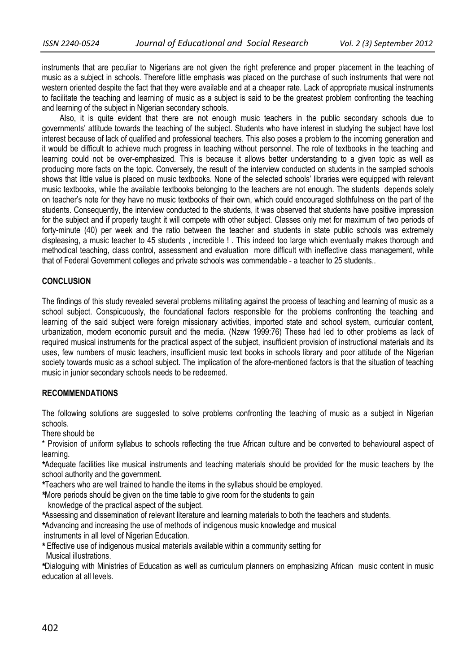instruments that are peculiar to Nigerians are not given the right preference and proper placement in the teaching of music as a subject in schools. Therefore little emphasis was placed on the purchase of such instruments that were not western oriented despite the fact that they were available and at a cheaper rate. Lack of appropriate musical instruments to facilitate the teaching and learning of music as a subject is said to be the greatest problem confronting the teaching and learning of the subject in Nigerian secondary schools.

Also, it is quite evident that there are not enough music teachers in the public secondary schools due to governments' attitude towards the teaching of the subject. Students who have interest in studying the subject have lost interest because of lack of qualified and professional teachers. This also poses a problem to the incoming generation and it would be difficult to achieve much progress in teaching without personnel. The role of textbooks in the teaching and learning could not be over-emphasized. This is because it allows better understanding to a given topic as well as producing more facts on the topic. Conversely, the result of the interview conducted on students in the sampled schools shows that little value is placed on music textbooks. None of the selected schools' libraries were equipped with relevant music textbooks, while the available textbooks belonging to the teachers are not enough. The students depends solely on teacher's note for they have no music textbooks of their own, which could encouraged slothfulness on the part of the students. Consequently, the interview conducted to the students, it was observed that students have positive impression for the subject and if properly taught it will compete with other subject. Classes only met for maximum of two periods of forty-minute (40) per week and the ratio between the teacher and students in state public schools was extremely displeasing, a music teacher to 45 students , incredible ! . This indeed too large which eventually makes thorough and methodical teaching, class control, assessment and evaluation more difficult with ineffective class management, while that of Federal Government colleges and private schools was commendable - a teacher to 25 students..

### **CONCLUSION**

The findings of this study revealed several problems militating against the process of teaching and learning of music as a school subject. Conspicuously, the foundational factors responsible for the problems confronting the teaching and learning of the said subject were foreign missionary activities, imported state and school system, curricular content, urbanization, modern economic pursuit and the media. (Nzew 1999:76) These had led to other problems as lack of required musical instruments for the practical aspect of the subject, insufficient provision of instructional materials and its uses, few numbers of music teachers, insufficient music text books in schools library and poor attitude of the Nigerian society towards music as a school subject. The implication of the afore-mentioned factors is that the situation of teaching music in junior secondary schools needs to be redeemed*.* 

### **RECOMMENDATIONS**

The following solutions are suggested to solve problems confronting the teaching of music as a subject in Nigerian schools.

There should be

\* Provision of uniform syllabus to schools reflecting the true African culture and be converted to behavioural aspect of learning.

*\**Adequate facilities like musical instruments and teaching materials should be provided for the music teachers by the school authority and the government.

*\**Teachers who are well trained to handle the items in the syllabus should be employed.

*\**More periods should be given on the time table to give room for the students to gain

knowledge of the practical aspect of the subject.

*\**Assessing and dissemination of relevant literature and learning materials to both the teachers and students.

*\**Advancing and increasing the use of methods of indigenous music knowledge and musical

instruments in all level of Nigerian Education.

*\** Effective use of indigenous musical materials available within a community setting for

Musical illustrations.

*\**Dialoguing with Ministries of Education as well as curriculum planners on emphasizing African music content in music education at all levels.